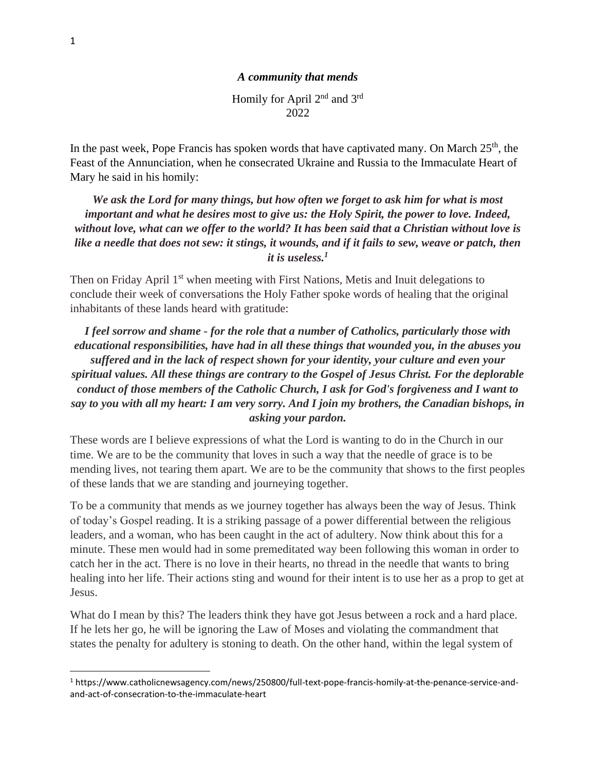Homily for April 2nd and 3rd 2022

In the past week, Pope Francis has spoken words that have captivated many. On March  $25<sup>th</sup>$ , the Feast of the Annunciation, when he consecrated Ukraine and Russia to the Immaculate Heart of Mary he said in his homily:

*We ask the Lord for many things, but how often we forget to ask him for what is most important and what he desires most to give us: the Holy Spirit, the power to love. Indeed, without love, what can we offer to the world? It has been said that a Christian without love is like a needle that does not sew: it stings, it wounds, and if it fails to sew, weave or patch, then it is useless.<sup>1</sup>*

Then on Friday April 1<sup>st</sup> when meeting with First Nations, Metis and Inuit delegations to conclude their week of conversations the Holy Father spoke words of healing that the original inhabitants of these lands heard with gratitude:

*I feel sorrow and shame - for the role that a number of Catholics, particularly those with educational responsibilities, have had in all these things that wounded you, in the abuses you suffered and in the lack of respect shown for your identity, your culture and even your spiritual values. All these things are contrary to the Gospel of Jesus Christ. For the deplorable conduct of those members of the Catholic Church, I ask for God's forgiveness and I want to say to you with all my heart: I am very sorry. And I join my brothers, the Canadian bishops, in asking your pardon.* 

These words are I believe expressions of what the Lord is wanting to do in the Church in our time. We are to be the community that loves in such a way that the needle of grace is to be mending lives, not tearing them apart. We are to be the community that shows to the first peoples of these lands that we are standing and journeying together.

To be a community that mends as we journey together has always been the way of Jesus. Think of today's Gospel reading. It is a striking passage of a power differential between the religious leaders, and a woman, who has been caught in the act of adultery. Now think about this for a minute. These men would had in some premeditated way been following this woman in order to catch her in the act. There is no love in their hearts, no thread in the needle that wants to bring healing into her life. Their actions sting and wound for their intent is to use her as a prop to get at Jesus.

What do I mean by this? The leaders think they have got Jesus between a rock and a hard place. If he lets her go, he will be ignoring the Law of Moses and violating the commandment that states the penalty for adultery is stoning to death. On the other hand, within the legal system of

<sup>1</sup> https://www.catholicnewsagency.com/news/250800/full-text-pope-francis-homily-at-the-penance-service-andand-act-of-consecration-to-the-immaculate-heart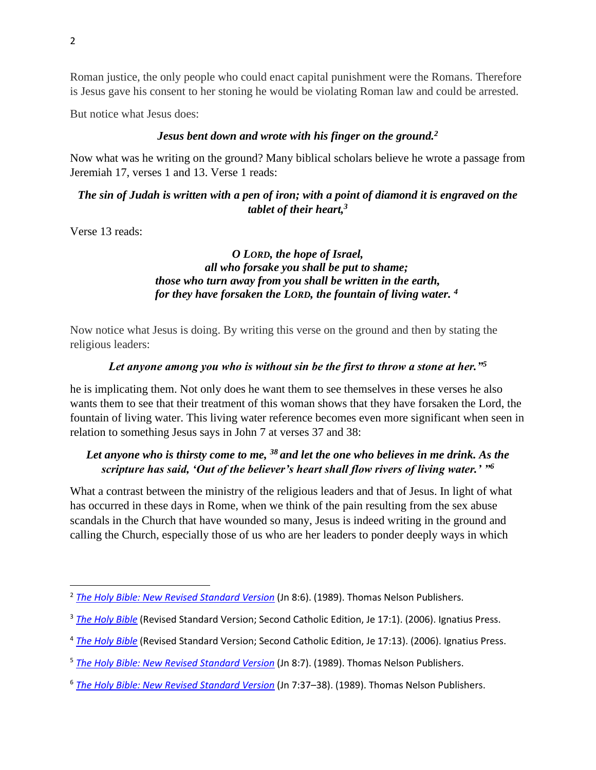Roman justice, the only people who could enact capital punishment were the Romans. Therefore is Jesus gave his consent to her stoning he would be violating Roman law and could be arrested.

But notice what Jesus does:

### *Jesus bent down and wrote with his finger on the ground.<sup>2</sup>*

Now what was he writing on the ground? Many biblical scholars believe he wrote a passage from Jeremiah 17, verses 1 and 13. Verse 1 reads:

*The sin of Judah is written with a pen of iron; with a point of diamond it is engraved on the tablet of their heart,<sup>3</sup>*

Verse 13 reads:

### *O LORD, the hope of Israel, all who forsake you shall be put to shame; those who turn away from you shall be written in the earth, for they have forsaken the LORD, the fountain of living water. <sup>4</sup>*

Now notice what Jesus is doing. By writing this verse on the ground and then by stating the religious leaders:

### *Let anyone among you who is without sin be the first to throw a stone at her."<sup>5</sup>*

he is implicating them. Not only does he want them to see themselves in these verses he also wants them to see that their treatment of this woman shows that they have forsaken the Lord, the fountain of living water. This living water reference becomes even more significant when seen in relation to something Jesus says in John 7 at verses 37 and 38:

# *Let anyone who is thirsty come to me, <sup>38</sup> and let the one who believes in me drink. As the scripture has said, 'Out of the believer's heart shall flow rivers of living water.' "<sup>6</sup>*

What a contrast between the ministry of the religious leaders and that of Jesus. In light of what has occurred in these days in Rome, when we think of the pain resulting from the sex abuse scandals in the Church that have wounded so many, Jesus is indeed writing in the ground and calling the Church, especially those of us who are her leaders to ponder deeply ways in which

<sup>&</sup>lt;sup>2</sup> *[The Holy Bible: New Revised Standard Version](https://ref.ly/logosres/nrsv?ref=BibleNRSV.Jn8.6&off=90&ctx=bring+against+him.+%E2%80%A2~Jesus+bent+down+and+)* (Jn 8:6). (1989). Thomas Nelson Publishers.

<sup>&</sup>lt;sup>3</sup> [The Holy Bible](https://ref.ly/logosres/rsv2ce?ref=BibleRSVCE.Je17.1&off=26&ctx=s+Sin+and+Shame%0a17%C2%A0%E2%80%9C~The+sin+of+Judah+is+) (Revised Standard Version; Second Catholic Edition, Je 17:1). (2006). Ignatius Press.

<sup>4</sup> *[The Holy Bible](https://ref.ly/logosres/rsv2ce?ref=BibleRSVCE.Je17.13&off=3&ctx=+our+sanctuary.+%0a13%C2%A0~O+Lord%2c+the+hope+of+)* (Revised Standard Version; Second Catholic Edition, Je 17:13). (2006). Ignatius Press.

<sup>5</sup> *[The Holy Bible: New Revised Standard Version](https://ref.ly/logosres/nrsv?ref=BibleNRSV.Jn8.7&off=76&ctx=+and+said+to+them%2c+%E2%80%9C~Let+anyone+among+you)* (Jn 8:7). (1989). Thomas Nelson Publishers.

<sup>6</sup> *[The Holy Bible: New Revised Standard Version](https://ref.ly/logosres/nrsv?ref=BibleNRSV.Jn7.37&off=123&ctx=re%2c+%E2%80%A2he+cried+out%2c+%E2%80%9C~Let+anyone+who+is+th)* (Jn 7:37–38). (1989). Thomas Nelson Publishers.